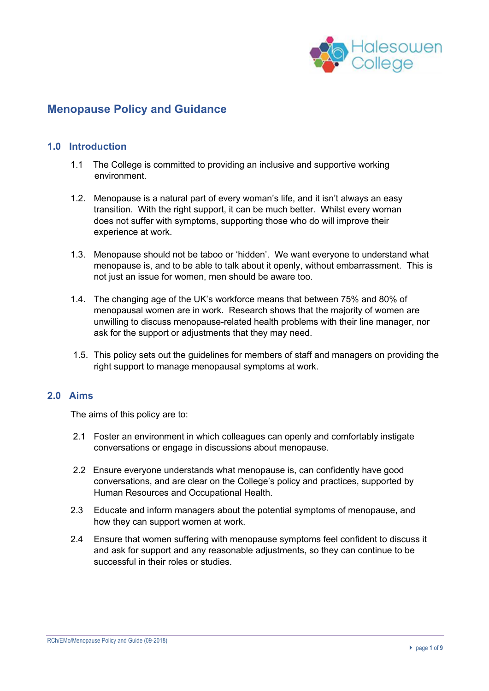

## **Menopause Policy and Guidance**

#### **1.0 Introduction**

- 1.1 The College is committed to providing an inclusive and supportive working environment.
- 1.2. Menopause is a natural part of every woman's life, and it isn't always an easy transition. With the right support, it can be much better. Whilst every woman does not suffer with symptoms, supporting those who do will improve their experience at work.
- 1.3. Menopause should not be taboo or 'hidden'. We want everyone to understand what menopause is, and to be able to talk about it openly, without embarrassment. This is not just an issue for women, men should be aware too.
- 1.4. The changing age of the UK's workforce means that between 75% and 80% of menopausal women are in work. Research shows that the majority of women are unwilling to discuss menopause-related health problems with their line manager, nor ask for the support or adjustments that they may need.
- 1.5. This policy sets out the guidelines for members of staff and managers on providing the right support to manage menopausal symptoms at work.

#### **2.0 Aims**

The aims of this policy are to:

- 2.1 Foster an environment in which colleagues can openly and comfortably instigate conversations or engage in discussions about menopause.
- 2.2 Ensure everyone understands what menopause is, can confidently have good conversations, and are clear on the College's policy and practices, supported by Human Resources and Occupational Health.
- 2.3 Educate and inform managers about the potential symptoms of menopause, and how they can support women at work.
- 2.4 Ensure that women suffering with menopause symptoms feel confident to discuss it and ask for support and any reasonable adjustments, so they can continue to be successful in their roles or studies.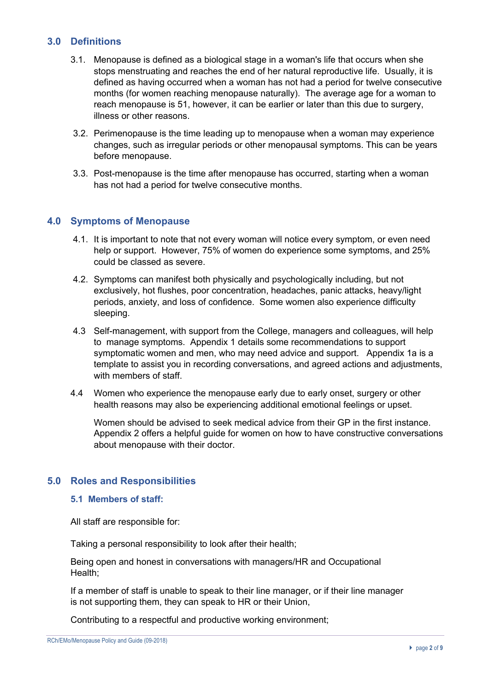## **3.0 Definitions**

- 3.1. Menopause is defined as a biological stage in a woman's life that occurs when she stops menstruating and reaches the end of her natural reproductive life. Usually, it is defined as having occurred when a woman has not had a period for twelve consecutive months (for women reaching menopause naturally). The average age for a woman to reach menopause is 51, however, it can be earlier or later than this due to surgery, illness or other reasons.
- 3.2. Perimenopause is the time leading up to menopause when a woman may experience changes, such as irregular periods or other menopausal symptoms. This can be years before menopause.
- 3.3. Post-menopause is the time after menopause has occurred, starting when a woman has not had a period for twelve consecutive months.

#### **4.0 Symptoms of Menopause**

- 4.1. It is important to note that not every woman will notice every symptom, or even need help or support. However, 75% of women do experience some symptoms, and 25% could be classed as severe.
- 4.2. Symptoms can manifest both physically and psychologically including, but not exclusively, hot flushes, poor concentration, headaches, panic attacks, heavy/light periods, anxiety, and loss of confidence. Some women also experience difficulty sleeping.
- 4.3 Self-management, with support from the College, managers and colleagues, will help to manage symptoms. Appendix 1 details some recommendations to support symptomatic women and men, who may need advice and support. Appendix 1a is a template to assist you in recording conversations, and agreed actions and adjustments, with members of staff.
- 4.4 Women who experience the menopause early due to early onset, surgery or other health reasons may also be experiencing additional emotional feelings or upset.

Women should be advised to seek medical advice from their GP in the first instance. Appendix 2 offers a helpful guide for women on how to have constructive conversations about menopause with their doctor.

#### **5.0 Roles and Responsibilities**

#### **5.1 Members of staff:**

All staff are responsible for:

Taking a personal responsibility to look after their health;

Being open and honest in conversations with managers/HR and Occupational Health;

If a member of staff is unable to speak to their line manager, or if their line manager is not supporting them, they can speak to HR or their Union,

Contributing to a respectful and productive working environment;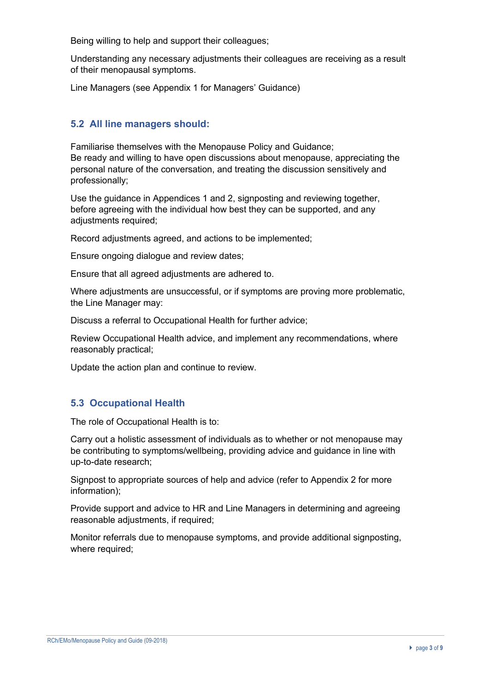Being willing to help and support their colleagues;

Understanding any necessary adjustments their colleagues are receiving as a result of their menopausal symptoms.

Line Managers (see Appendix 1 for Managers' Guidance)

## **5.2 All line managers should:**

Familiarise themselves with the Menopause Policy and Guidance; Be ready and willing to have open discussions about menopause, appreciating the personal nature of the conversation, and treating the discussion sensitively and professionally;

Use the guidance in Appendices 1 and 2, signposting and reviewing together, before agreeing with the individual how best they can be supported, and any adiustments required:

Record adjustments agreed, and actions to be implemented;

Ensure ongoing dialogue and review dates;

Ensure that all agreed adjustments are adhered to.

Where adjustments are unsuccessful, or if symptoms are proving more problematic, the Line Manager may:

Discuss a referral to Occupational Health for further advice;

Review Occupational Health advice, and implement any recommendations, where reasonably practical;

Update the action plan and continue to review.

## **5.3 Occupational Health**

The role of Occupational Health is to:

Carry out a holistic assessment of individuals as to whether or not menopause may be contributing to symptoms/wellbeing, providing advice and guidance in line with up-to-date research;

Signpost to appropriate sources of help and advice (refer to Appendix 2 for more information);

Provide support and advice to HR and Line Managers in determining and agreeing reasonable adjustments, if required;

Monitor referrals due to menopause symptoms, and provide additional signposting, where required;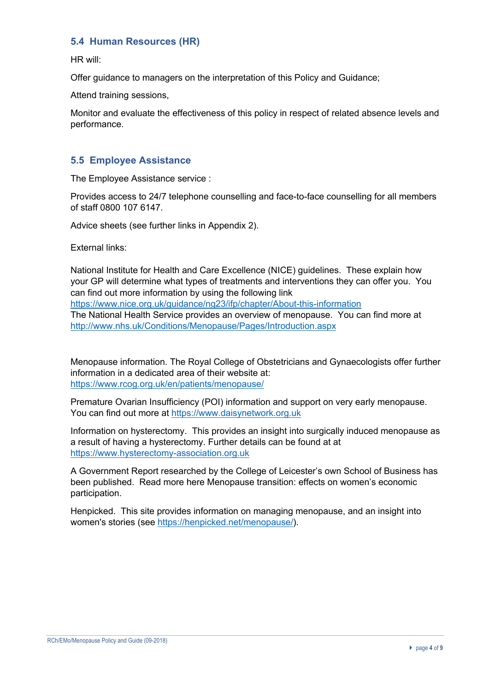## **5.4 Human Resources (HR)**

HR will:

Offer guidance to managers on the interpretation of this Policy and Guidance;

Attend training sessions,

Monitor and evaluate the effectiveness of this policy in respect of related absence levels and performance.

### **5.5 Employee Assistance**

The Employee Assistance service :

Provides access to 24/7 telephone counselling and face-to-face counselling for all members of staff 0800 107 6147.

Advice sheets (see further links in Appendix 2).

External links:

National Institute for Health and Care Excellence (NICE) guidelines. These explain how your GP will determine what types of treatments and interventions they can offer you. You can find out more information by using the following link https://www.nice.org.uk/guidance/ng23/ifp/chapter/About-this-information The National Health Service provides an overview of menopause. You can find more at http://www.nhs.uk/Conditions/Menopause/Pages/Introduction.aspx

Menopause information. The Royal College of Obstetricians and Gynaecologists offer further information in a dedicated area of their website at: https://www.rcog.org.uk/en/patients/menopause/

Premature Ovarian Insufficiency (POI) information and support on very early menopause. You can find out more at https://www.daisynetwork.org.uk

Information on hysterectomy. This provides an insight into surgically induced menopause as a result of having a hysterectomy. Further details can be found at at https://www.hysterectomy-association.org.uk

A Government Report researched by the College of Leicester's own School of Business has been published. Read more here Menopause transition: effects on women's economic participation.

Henpicked. This site provides information on managing menopause, and an insight into women's stories (see https://henpicked.net/menopause/).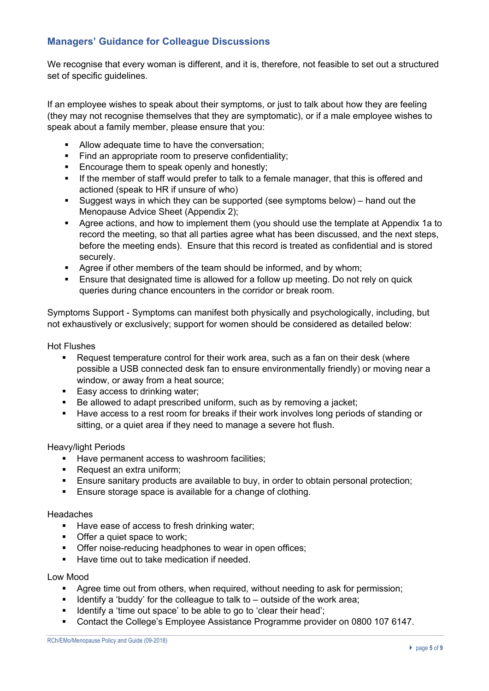## **Managers' Guidance for Colleague Discussions**

We recognise that every woman is different, and it is, therefore, not feasible to set out a structured set of specific guidelines.

If an employee wishes to speak about their symptoms, or just to talk about how they are feeling (they may not recognise themselves that they are symptomatic), or if a male employee wishes to speak about a family member, please ensure that you:

- Allow adequate time to have the conversation:
- Find an appropriate room to preserve confidentiality;
- **Encourage them to speak openly and honestly;**
- If the member of staff would prefer to talk to a female manager, that this is offered and actioned (speak to HR if unsure of who)
- Suggest ways in which they can be supported (see symptoms below) hand out the Menopause Advice Sheet (Appendix 2);
- Agree actions, and how to implement them (you should use the template at Appendix 1a to record the meeting, so that all parties agree what has been discussed, and the next steps, before the meeting ends). Ensure that this record is treated as confidential and is stored securely.
- **•** Agree if other members of the team should be informed, and by whom;
- Ensure that designated time is allowed for a follow up meeting. Do not rely on quick queries during chance encounters in the corridor or break room.

Symptoms Support - Symptoms can manifest both physically and psychologically, including, but not exhaustively or exclusively; support for women should be considered as detailed below:

Hot Flushes

- Request temperature control for their work area, such as a fan on their desk (where possible a USB connected desk fan to ensure environmentally friendly) or moving near a window, or away from a heat source;
- Easy access to drinking water:
- Be allowed to adapt prescribed uniform, such as by removing a jacket;
- Have access to a rest room for breaks if their work involves long periods of standing or sitting, or a quiet area if they need to manage a severe hot flush.

Heavy/light Periods

- Have permanent access to washroom facilities;
- Request an extra uniform;
- Ensure sanitary products are available to buy, in order to obtain personal protection;
- **Ensure storage space is available for a change of clothing.**

**Headaches** 

- Have ease of access to fresh drinking water;
- Offer a quiet space to work;
- **Offer noise-reducing headphones to wear in open offices;**
- Have time out to take medication if needed.

#### Low Mood

- § Agree time out from others, when required, without needing to ask for permission;
- **•** Identify a 'buddy' for the colleague to talk to  $-$  outside of the work area;
- Identify a 'time out space' to be able to go to 'clear their head';
- § Contact the College's Employee Assistance Programme provider on 0800 107 6147.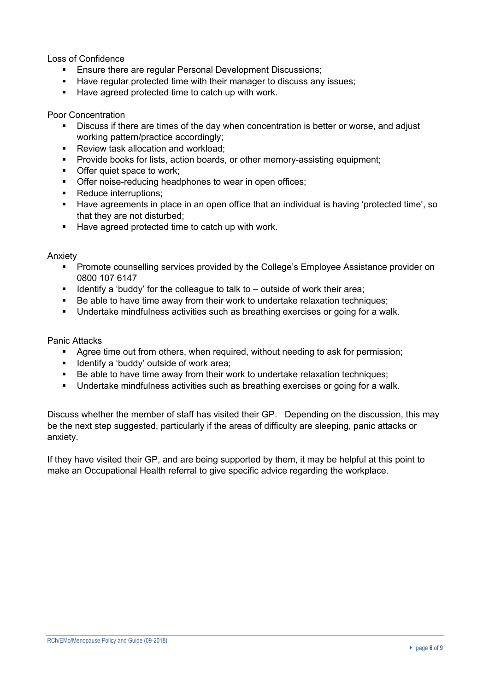Loss of Confidence

- **Ensure there are regular Personal Development Discussions;**
- Have regular protected time with their manager to discuss any issues;
- Have agreed protected time to catch up with work.

Poor Concentration

- Discuss if there are times of the day when concentration is better or worse, and adjust working pattern/practice accordingly;
- Review task allocation and workload:
- § Provide books for lists, action boards, or other memory-assisting equipment;
- Offer quiet space to work:
- § Offer noise-reducing headphones to wear in open offices;
- Reduce interruptions;
- Have agreements in place in an open office that an individual is having 'protected time', so that they are not disturbed;
- Have agreed protected time to catch up with work.

Anxiety

- **Promote counselling services provided by the College's Employee Assistance provider on** 0800 107 6147
- § Identify a 'buddy' for the colleague to talk to outside of work their area;
- Be able to have time away from their work to undertake relaxation techniques;
- § Undertake mindfulness activities such as breathing exercises or going for a walk.

Panic Attacks

- Agree time out from others, when required, without needing to ask for permission;
- **■** Identify a 'buddy' outside of work area;
- Be able to have time away from their work to undertake relaxation techniques;
- § Undertake mindfulness activities such as breathing exercises or going for a walk.

Discuss whether the member of staff has visited their GP. Depending on the discussion, this may be the next step suggested, particularly if the areas of difficulty are sleeping, panic attacks or anxiety.

If they have visited their GP, and are being supported by them, it may be helpful at this point to make an Occupational Health referral to give specific advice regarding the workplace.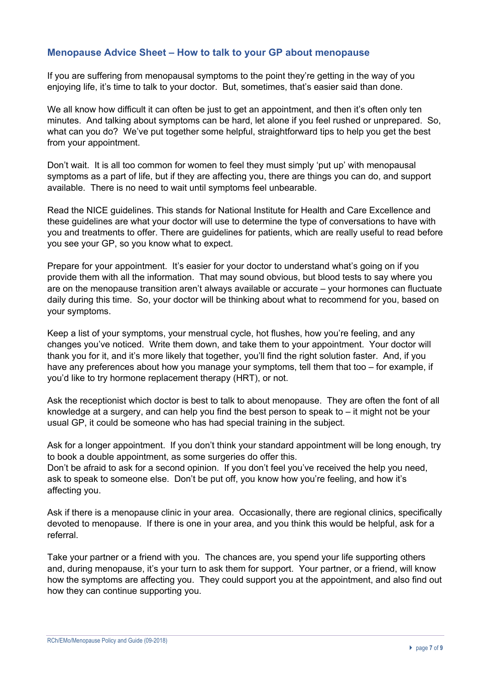## **Menopause Advice Sheet – How to talk to your GP about menopause**

If you are suffering from menopausal symptoms to the point they're getting in the way of you enjoying life, it's time to talk to your doctor. But, sometimes, that's easier said than done.

We all know how difficult it can often be just to get an appointment, and then it's often only ten minutes. And talking about symptoms can be hard, let alone if you feel rushed or unprepared. So, what can you do? We've put together some helpful, straightforward tips to help you get the best from your appointment.

Don't wait. It is all too common for women to feel they must simply 'put up' with menopausal symptoms as a part of life, but if they are affecting you, there are things you can do, and support available. There is no need to wait until symptoms feel unbearable.

Read the NICE guidelines. This stands for National Institute for Health and Care Excellence and these guidelines are what your doctor will use to determine the type of conversations to have with you and treatments to offer. There are guidelines for patients, which are really useful to read before you see your GP, so you know what to expect.

Prepare for your appointment. It's easier for your doctor to understand what's going on if you provide them with all the information. That may sound obvious, but blood tests to say where you are on the menopause transition aren't always available or accurate – your hormones can fluctuate daily during this time. So, your doctor will be thinking about what to recommend for you, based on your symptoms.

Keep a list of your symptoms, your menstrual cycle, hot flushes, how you're feeling, and any changes you've noticed. Write them down, and take them to your appointment. Your doctor will thank you for it, and it's more likely that together, you'll find the right solution faster. And, if you have any preferences about how you manage your symptoms, tell them that too – for example, if you'd like to try hormone replacement therapy (HRT), or not.

Ask the receptionist which doctor is best to talk to about menopause. They are often the font of all knowledge at a surgery, and can help you find the best person to speak to – it might not be your usual GP, it could be someone who has had special training in the subject.

Ask for a longer appointment. If you don't think your standard appointment will be long enough, try to book a double appointment, as some surgeries do offer this.

Don't be afraid to ask for a second opinion. If you don't feel you've received the help you need, ask to speak to someone else. Don't be put off, you know how you're feeling, and how it's affecting you.

Ask if there is a menopause clinic in your area. Occasionally, there are regional clinics, specifically devoted to menopause. If there is one in your area, and you think this would be helpful, ask for a referral.

Take your partner or a friend with you. The chances are, you spend your life supporting others and, during menopause, it's your turn to ask them for support. Your partner, or a friend, will know how the symptoms are affecting you. They could support you at the appointment, and also find out how they can continue supporting you.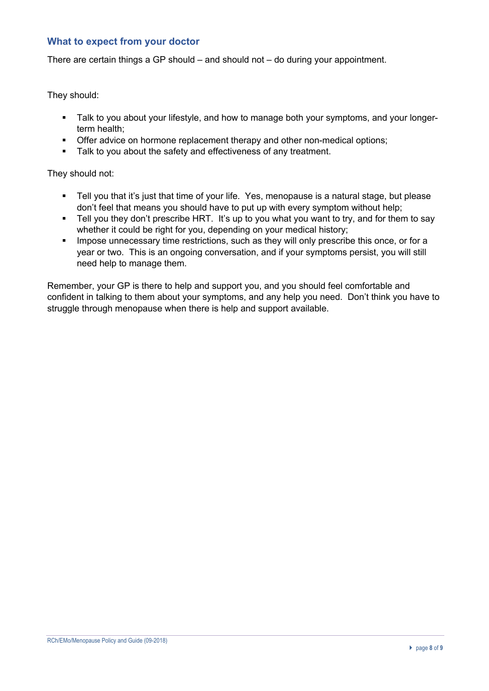### **What to expect from your doctor**

There are certain things a GP should – and should not – do during your appointment.

They should:

- **•** Talk to you about your lifestyle, and how to manage both your symptoms, and your longerterm health;
- **Offer advice on hormone replacement therapy and other non-medical options;**
- **•** Talk to you about the safety and effectiveness of any treatment.

They should not:

- Tell you that it's just that time of your life. Yes, menopause is a natural stage, but please don't feel that means you should have to put up with every symptom without help;
- Tell you they don't prescribe HRT. It's up to you what you want to try, and for them to say whether it could be right for you, depending on your medical history;
- **■** Impose unnecessary time restrictions, such as they will only prescribe this once, or for a year or two. This is an ongoing conversation, and if your symptoms persist, you will still need help to manage them.

Remember, your GP is there to help and support you, and you should feel comfortable and confident in talking to them about your symptoms, and any help you need. Don't think you have to struggle through menopause when there is help and support available.